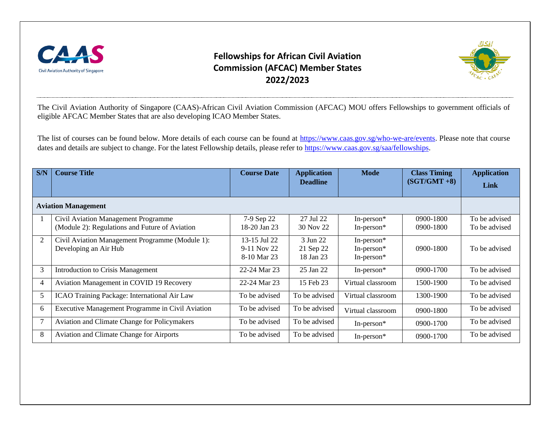

## **Fellowships for African Civil Aviation Commission (AFCAC) Member States 2022/2023**



The Civil Aviation Authority of Singapore (CAAS)-African Civil Aviation Commission (AFCAC) MOU offers Fellowships to government officials of eligible AFCAC Member States that are also developing ICAO Member States.

The list of courses can be found below. More details of each course can be found at [https://www.caas.gov.sg/who-we-are/events.](https://www.caas.gov.sg/who-we-are/events) Please note that course dates and details are subject to change. For the latest Fellowship details, please refer to [https://www.caas.gov.sg/saa/fellowships.](https://www.caas.gov.sg/saa/fellowships)

| S/N                        | <b>Course Title</b>                                                                   | <b>Course Date</b>                         | <b>Application</b><br><b>Deadline</b> | <b>Mode</b>                                  | <b>Class Timing</b><br>$(SGT/GMT + 8)$ | <b>Application</b><br>Link     |  |
|----------------------------|---------------------------------------------------------------------------------------|--------------------------------------------|---------------------------------------|----------------------------------------------|----------------------------------------|--------------------------------|--|
| <b>Aviation Management</b> |                                                                                       |                                            |                                       |                                              |                                        |                                |  |
|                            | Civil Aviation Management Programme<br>(Module 2): Regulations and Future of Aviation | 7-9 Sep 22<br>18-20 Jan 23                 | 27 Jul 22<br>30 Nov 22                | In-person $*$<br>In-person*                  | $0900 - 1800$<br>$0900 - 1800$         | To be advised<br>To be advised |  |
| 2                          | Civil Aviation Management Programme (Module 1):<br>Developing an Air Hub              | 13-15 Jul 22<br>9-11 Nov 22<br>8-10 Mar 23 | 3 Jun 22<br>21 Sep 22<br>18 Jan 23    | In-person $*$<br>In-person*<br>In-person $*$ | $0900 - 1800$                          | To be advised                  |  |
| 3                          | Introduction to Crisis Management                                                     | 22-24 Mar 23                               | 25 Jan 22                             | In-person $*$                                | 0900-1700                              | To be advised                  |  |
| $\overline{4}$             | Aviation Management in COVID 19 Recovery                                              | 22-24 Mar 23                               | 15 Feb 23                             | Virtual classroom                            | 1500-1900                              | To be advised                  |  |
| 5                          | ICAO Training Package: International Air Law                                          | To be advised                              | To be advised                         | Virtual classroom                            | 1300-1900                              | To be advised                  |  |
| 6                          | Executive Management Programme in Civil Aviation                                      | To be advised                              | To be advised                         | Virtual classroom                            | $0900 - 1800$                          | To be advised                  |  |
| $\overline{7}$             | Aviation and Climate Change for Policymakers                                          | To be advised                              | To be advised                         | In-person $*$                                | 0900-1700                              | To be advised                  |  |
| 8                          | <b>Aviation and Climate Change for Airports</b>                                       | To be advised                              | To be advised                         | In-person $*$                                | 0900-1700                              | To be advised                  |  |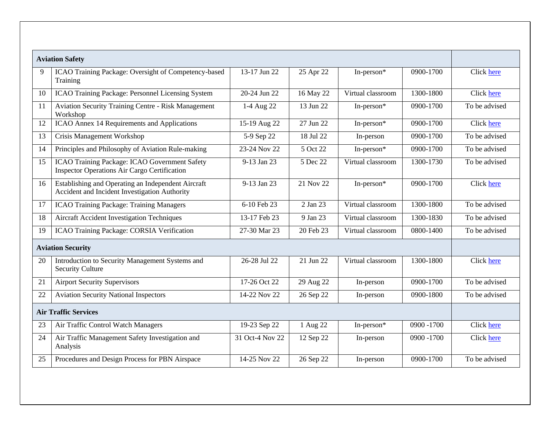|                             | <b>Aviation Safety</b>                                                                               |                 |           |                   |               |               |
|-----------------------------|------------------------------------------------------------------------------------------------------|-----------------|-----------|-------------------|---------------|---------------|
| 9                           | ICAO Training Package: Oversight of Competency-based<br>Training                                     | 13-17 Jun 22    | 25 Apr 22 | In-person*        | 0900-1700     | Click here    |
| 10                          | ICAO Training Package: Personnel Licensing System                                                    | 20-24 Jun 22    | 16 May 22 | Virtual classroom | 1300-1800     | Click here    |
| 11                          | <b>Aviation Security Training Centre - Risk Management</b><br>Workshop                               | 1-4 Aug 22      | 13 Jun 22 | In-person*        | 0900-1700     | To be advised |
| 12                          | ICAO Annex 14 Requirements and Applications                                                          | 15-19 Aug 22    | 27 Jun 22 | In-person*        | 0900-1700     | Click here    |
| 13                          | Crisis Management Workshop                                                                           | 5-9 Sep 22      | 18 Jul 22 | In-person         | 0900-1700     | To be advised |
| 14                          | Principles and Philosophy of Aviation Rule-making                                                    | 23-24 Nov 22    | 5 Oct 22  | In-person*        | 0900-1700     | To be advised |
| 15                          | ICAO Training Package: ICAO Government Safety<br><b>Inspector Operations Air Cargo Certification</b> | 9-13 Jan 23     | 5 Dec 22  | Virtual classroom | 1300-1730     | To be advised |
| 16                          | Establishing and Operating an Independent Aircraft<br>Accident and Incident Investigation Authority  | 9-13 Jan 23     | 21 Nov 22 | In-person*        | 0900-1700     | Click here    |
| 17                          | <b>ICAO Training Package: Training Managers</b>                                                      | 6-10 Feb 23     | 2 Jan 23  | Virtual classroom | 1300-1800     | To be advised |
| 18                          | Aircraft Accident Investigation Techniques                                                           | 13-17 Feb 23    | 9 Jan 23  | Virtual classroom | 1300-1830     | To be advised |
| 19                          | ICAO Training Package: CORSIA Verification                                                           | 27-30 Mar 23    | 20 Feb 23 | Virtual classroom | 0800-1400     | To be advised |
| <b>Aviation Security</b>    |                                                                                                      |                 |           |                   |               |               |
| 20                          | Introduction to Security Management Systems and<br><b>Security Culture</b>                           | 26-28 Jul 22    | 21 Jun 22 | Virtual classroom | 1300-1800     | Click here    |
| 21                          | <b>Airport Security Supervisors</b>                                                                  | 17-26 Oct 22    | 29 Aug 22 | In-person         | 0900-1700     | To be advised |
| 22                          | <b>Aviation Security National Inspectors</b>                                                         | 14-22 Nov 22    | 26 Sep 22 | In-person         | 0900-1800     | To be advised |
| <b>Air Traffic Services</b> |                                                                                                      |                 |           |                   |               |               |
| 23                          | Air Traffic Control Watch Managers                                                                   | 19-23 Sep 22    | 1 Aug 22  | In-person*        | $0900 - 1700$ | Click here    |
| 24                          | Air Traffic Management Safety Investigation and<br>Analysis                                          | 31 Oct-4 Nov 22 | 12 Sep 22 | In-person         | 0900 -1700    | Click here    |
| 25                          | Procedures and Design Process for PBN Airspace                                                       | 14-25 Nov 22    | 26 Sep 22 | In-person         | 0900-1700     | To be advised |